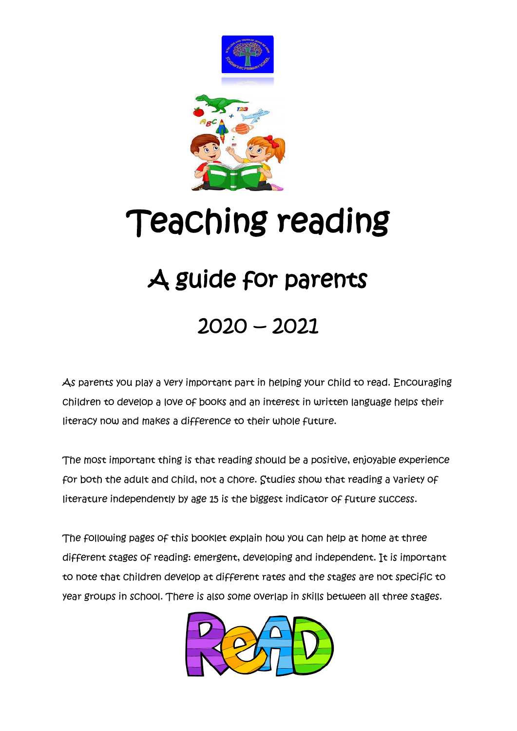

# Teaching reading

## A guide for parents

## 2020 – 2021

As parents you play a very important part in helping your child to read. Encouraging children to develop a love of books and an interest in written language helps their literacy now and makes a difference to their whole future.

The most important thing is that reading should be a positive, enjoyable experience for both the adult and child, not a chore. Studies show that reading a variety of literature independently by age 15 is the biggest indicator of future success.

The following pages of this booklet explain how you can help at home at three different stages of reading: emergent, developing and independent. It is important to note that children develop at different rates and the stages are not specific to year groups in school. There is also some overlap in skills between all three stages.

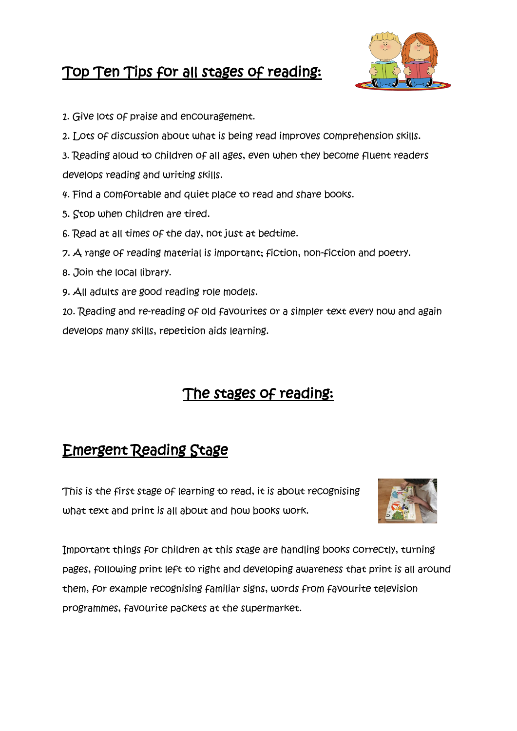## Top Ten Tips for all stages of reading:



- 1. Give lots of praise and encouragement.
- 2. Lots of discussion about what is being read improves comprehension skills.
- 3. Reading aloud to children of all ages, even when they become fluent readers develops reading and writing skills.
- 4. Find a comfortable and quiet place to read and share books.
- 5. Stop when children are tired.
- 6. Read at all times of the day, not just at bedtime.
- 7. A range of reading material is important; fiction, non-fiction and poetry.
- 8. Join the local library.
- 9. All adults are good reading role models.

10. Reading and re-reading of old favourites or a simpler text every now and again develops many skills, repetition aids learning.

## The stages of reading:

## Emergent Reading Stage

This is the first stage of learning to read, it is about recognising what text and print is all about and how books work.



Important things for children at this stage are handling books correctly, turning pages, following print left to right and developing awareness that print is all around them, for example recognising familiar signs, words from favourite television programmes, favourite packets at the supermarket.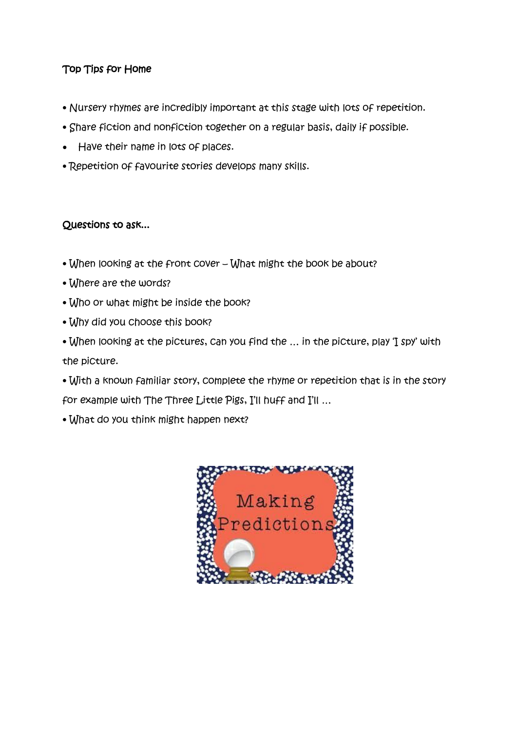#### Top Tips for Home

- Nursery rhymes are incredibly important at this stage with lots of repetition.
- Share fiction and nonfiction together on a regular basis, daily if possible.
- Have their name in lots of places.
- Repetition of favourite stories develops many skills.

#### Questions to ask...

- When looking at the front cover What might the book be about?
- Where are the words?
- Who or what might be inside the book?
- Why did you choose this book?
- When looking at the pictures, can you find the … in the picture, play 'I spy' with the picture.
- With a known familiar story, complete the rhyme or repetition that is in the story for example with The Three Little Pigs, I'll huff and I'll …
- What do you think might happen next?

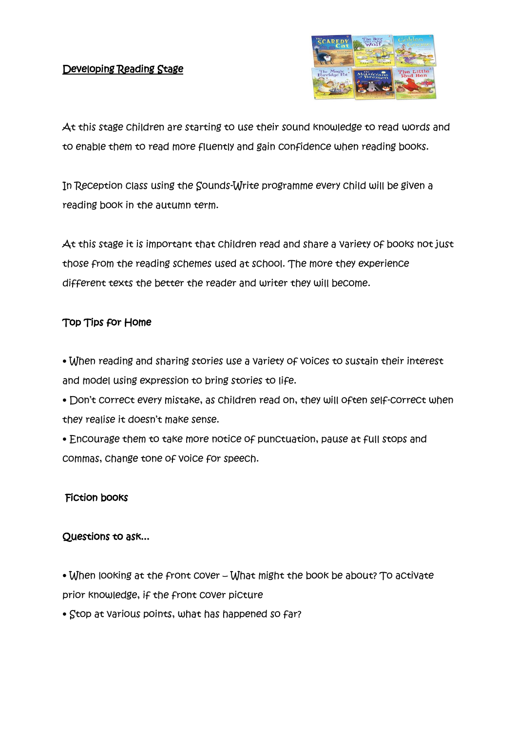#### Developing Reading Stage



At this stage children are starting to use their sound knowledge to read words and to enable them to read more fluently and gain confidence when reading books.

In Reception class using the Sounds-Write programme every child will be given a reading book in the autumn term.

At this stage it is important that children read and share a variety of books not just those from the reading schemes used at school. The more they experience different texts the better the reader and writer they will become.

#### Top Tips for Home

• When reading and sharing stories use a variety of voices to sustain their interest and model using expression to bring stories to life.

• Don't correct every mistake, as children read on, they will often self-correct when they realise it doesn't make sense.

• Encourage them to take more notice of punctuation, pause at full stops and commas, change tone of voice for speech.

#### Fiction books

#### Questions to ask...

• When looking at the front cover – What might the book be about? To activate prior knowledge, if the front cover picture

• Stop at various points, what has happened so far?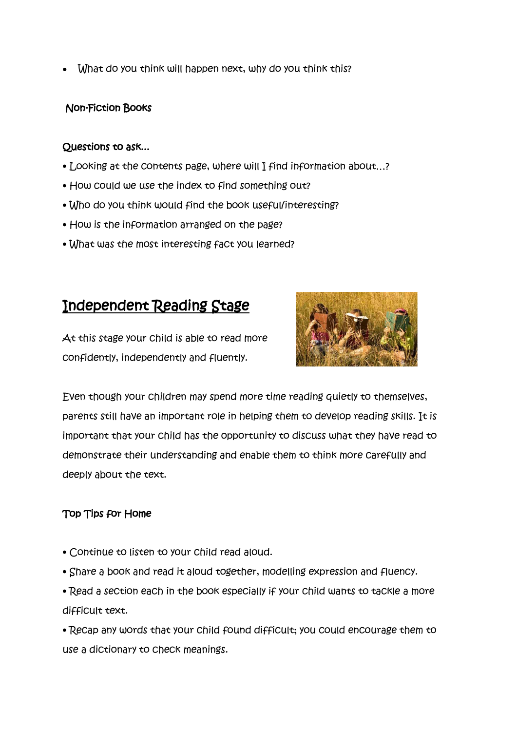• What do you think will happen next, why do you think this?

#### Non-Fiction Books

#### Questions to ask...

- Looking at the contents page, where will I find information about…?
- How could we use the index to find something out?
- Who do you think would find the book useful/interesting?
- How is the information arranged on the page?
- What was the most interesting fact you learned?

### Independent Reading Stage

At this stage your child is able to read more confidently, independently and fluently.



Even though your children may spend more time reading quietly to themselves, parents still have an important role in helping them to develop reading skills. It is important that your child has the opportunity to discuss what they have read to demonstrate their understanding and enable them to think more carefully and deeply about the text.

#### Top Tips for Home

- Continue to listen to your child read aloud.
- Share a book and read it aloud together, modelling expression and fluency.
- Read a section each in the book especially if your child wants to tackle a more difficult text.
- Recap any words that your child found difficult; you could encourage them to use a dictionary to check meanings.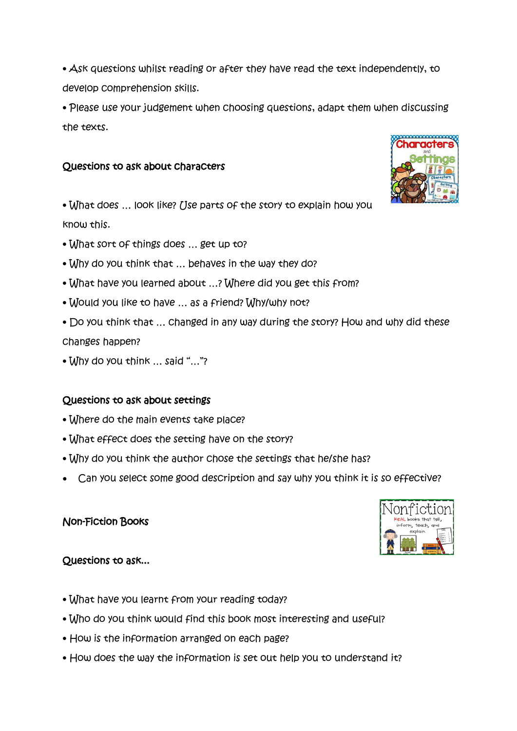• Ask questions whilst reading or after they have read the text independently, to develop comprehension skills.

• Please use your judgement when choosing questions, adapt them when discussing the texts.

#### Questions to ask about characters

• What does ... look like? [Jse parts of the story to explain how you know this.

- What sort of things does … get up to?
- Why do you think that … behaves in the way they do?
- What have you learned about …? Where did you get this from?
- Would you like to have … as a friend? Why/why not?
- Do you think that … changed in any way during the story? How and why did these changes happen?
- Why do you think … said "…"?

#### Questions to ask about settings

- Where do the main events take place?
- What effect does the setting have on the story?
- Why do you think the author chose the settings that he/she has?
- Can you select some good description and say why you think it is so effective?

#### Non-Fiction Books

#### Questions to ask...

- What have you learnt from your reading today?
- Who do you think would find this book most interesting and useful?
- How is the information arranged on each page?
- How does the way the information is set out help you to understand it?